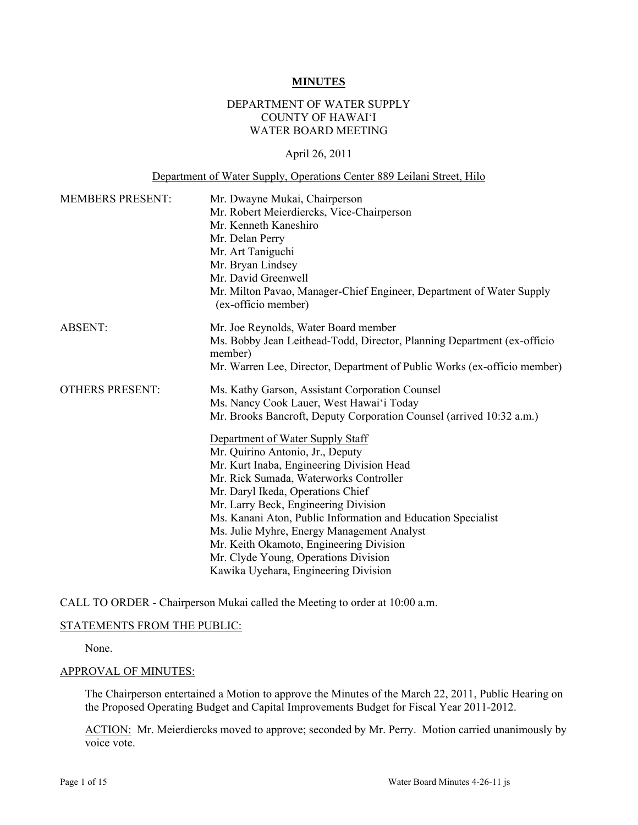#### **MINUTES**

## DEPARTMENT OF WATER SUPPLY COUNTY OF HAWAI'I WATER BOARD MEETING

## April 26, 2011

### Department of Water Supply, Operations Center 889 Leilani Street, Hilo

| <b>MEMBERS PRESENT:</b> | Mr. Dwayne Mukai, Chairperson<br>Mr. Robert Meierdiercks, Vice-Chairperson<br>Mr. Kenneth Kaneshiro<br>Mr. Delan Perry<br>Mr. Art Taniguchi<br>Mr. Bryan Lindsey<br>Mr. David Greenwell<br>Mr. Milton Pavao, Manager-Chief Engineer, Department of Water Supply<br>(ex-officio member) |
|-------------------------|----------------------------------------------------------------------------------------------------------------------------------------------------------------------------------------------------------------------------------------------------------------------------------------|
| <b>ABSENT:</b>          | Mr. Joe Reynolds, Water Board member                                                                                                                                                                                                                                                   |
|                         | Ms. Bobby Jean Leithead-Todd, Director, Planning Department (ex-officio<br>member)                                                                                                                                                                                                     |
|                         | Mr. Warren Lee, Director, Department of Public Works (ex-officio member)                                                                                                                                                                                                               |
| <b>OTHERS PRESENT:</b>  | Ms. Kathy Garson, Assistant Corporation Counsel                                                                                                                                                                                                                                        |
|                         | Ms. Nancy Cook Lauer, West Hawai'i Today                                                                                                                                                                                                                                               |
|                         | Mr. Brooks Bancroft, Deputy Corporation Counsel (arrived 10:32 a.m.)                                                                                                                                                                                                                   |
|                         | Department of Water Supply Staff                                                                                                                                                                                                                                                       |
|                         | Mr. Quirino Antonio, Jr., Deputy                                                                                                                                                                                                                                                       |
|                         | Mr. Kurt Inaba, Engineering Division Head                                                                                                                                                                                                                                              |
|                         | Mr. Rick Sumada, Waterworks Controller                                                                                                                                                                                                                                                 |
|                         | Mr. Daryl Ikeda, Operations Chief                                                                                                                                                                                                                                                      |
|                         | Mr. Larry Beck, Engineering Division                                                                                                                                                                                                                                                   |
|                         | Ms. Kanani Aton, Public Information and Education Specialist                                                                                                                                                                                                                           |
|                         | Ms. Julie Myhre, Energy Management Analyst                                                                                                                                                                                                                                             |
|                         | Mr. Keith Okamoto, Engineering Division                                                                                                                                                                                                                                                |
|                         | Mr. Clyde Young, Operations Division                                                                                                                                                                                                                                                   |
|                         | Kawika Uyehara, Engineering Division                                                                                                                                                                                                                                                   |

CALL TO ORDER - Chairperson Mukai called the Meeting to order at 10:00 a.m.

## STATEMENTS FROM THE PUBLIC:

None.

#### APPROVAL OF MINUTES:

The Chairperson entertained a Motion to approve the Minutes of the March 22, 2011, Public Hearing on the Proposed Operating Budget and Capital Improvements Budget for Fiscal Year 2011-2012.

ACTION: Mr. Meierdiercks moved to approve; seconded by Mr. Perry. Motion carried unanimously by voice vote.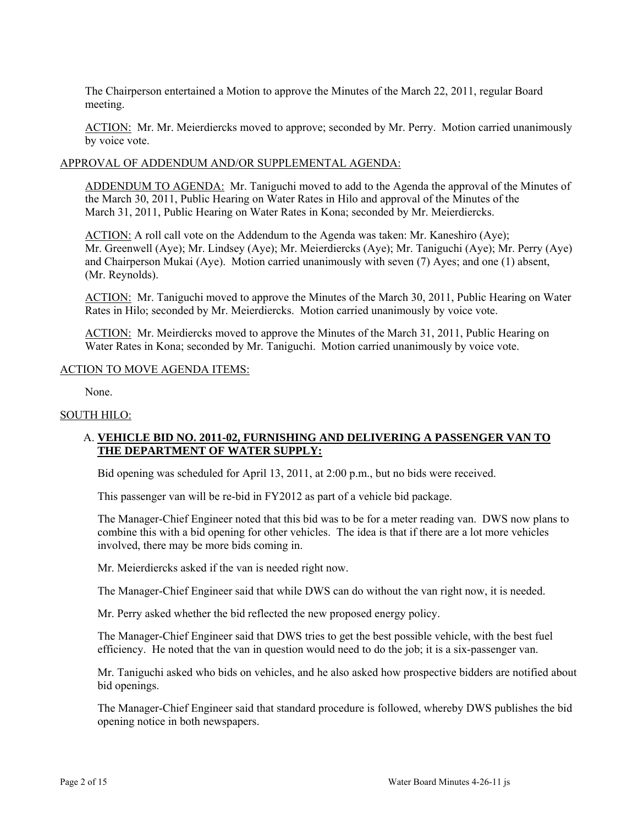The Chairperson entertained a Motion to approve the Minutes of the March 22, 2011, regular Board meeting.

ACTION: Mr. Mr. Meierdiercks moved to approve; seconded by Mr. Perry. Motion carried unanimously by voice vote.

## APPROVAL OF ADDENDUM AND/OR SUPPLEMENTAL AGENDA:

ADDENDUM TO AGENDA: Mr. Taniguchi moved to add to the Agenda the approval of the Minutes of the March 30, 2011, Public Hearing on Water Rates in Hilo and approval of the Minutes of the March 31, 2011, Public Hearing on Water Rates in Kona; seconded by Mr. Meierdiercks.

ACTION: A roll call vote on the Addendum to the Agenda was taken: Mr. Kaneshiro (Aye); Mr. Greenwell (Aye); Mr. Lindsey (Aye); Mr. Meierdiercks (Aye); Mr. Taniguchi (Aye); Mr. Perry (Aye) and Chairperson Mukai (Aye). Motion carried unanimously with seven (7) Ayes; and one (1) absent, (Mr. Reynolds).

ACTION: Mr. Taniguchi moved to approve the Minutes of the March 30, 2011, Public Hearing on Water Rates in Hilo; seconded by Mr. Meierdiercks. Motion carried unanimously by voice vote.

ACTION: Mr. Meirdiercks moved to approve the Minutes of the March 31, 2011, Public Hearing on Water Rates in Kona; seconded by Mr. Taniguchi. Motion carried unanimously by voice vote.

### ACTION TO MOVE AGENDA ITEMS:

None.

## SOUTH HILO:

## A. **VEHICLE BID NO. 2011-02, FURNISHING AND DELIVERING A PASSENGER VAN TO THE DEPARTMENT OF WATER SUPPLY:**

Bid opening was scheduled for April 13, 2011, at 2:00 p.m., but no bids were received.

This passenger van will be re-bid in FY2012 as part of a vehicle bid package.

The Manager-Chief Engineer noted that this bid was to be for a meter reading van. DWS now plans to combine this with a bid opening for other vehicles. The idea is that if there are a lot more vehicles involved, there may be more bids coming in.

Mr. Meierdiercks asked if the van is needed right now.

The Manager-Chief Engineer said that while DWS can do without the van right now, it is needed.

Mr. Perry asked whether the bid reflected the new proposed energy policy.

The Manager-Chief Engineer said that DWS tries to get the best possible vehicle, with the best fuel efficiency. He noted that the van in question would need to do the job; it is a six-passenger van.

Mr. Taniguchi asked who bids on vehicles, and he also asked how prospective bidders are notified about bid openings.

The Manager-Chief Engineer said that standard procedure is followed, whereby DWS publishes the bid opening notice in both newspapers.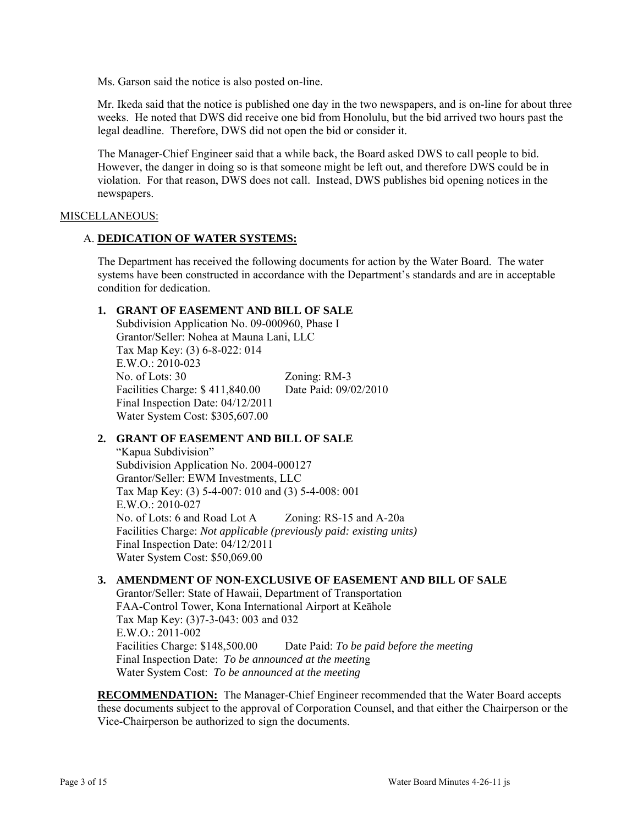Ms. Garson said the notice is also posted on-line.

Mr. Ikeda said that the notice is published one day in the two newspapers, and is on-line for about three weeks. He noted that DWS did receive one bid from Honolulu, but the bid arrived two hours past the legal deadline. Therefore, DWS did not open the bid or consider it.

The Manager-Chief Engineer said that a while back, the Board asked DWS to call people to bid. However, the danger in doing so is that someone might be left out, and therefore DWS could be in violation. For that reason, DWS does not call. Instead, DWS publishes bid opening notices in the newspapers.

### MISCELLANEOUS:

### A. **DEDICATION OF WATER SYSTEMS:**

The Department has received the following documents for action by the Water Board. The water systems have been constructed in accordance with the Department's standards and are in acceptable condition for dedication.

## **1. GRANT OF EASEMENT AND BILL OF SALE**

Subdivision Application No. 09-000960, Phase I Grantor/Seller: Nohea at Mauna Lani, LLC Tax Map Key: (3) 6-8-022: 014  $E.W.O.2010-023$ No. of Lots: 30 Zoning: RM-3 Facilities Charge: \$ 411,840.00 Date Paid: 09/02/2010 Final Inspection Date: 04/12/2011 Water System Cost: \$305,607.00

## **2. GRANT OF EASEMENT AND BILL OF SALE**

"Kapua Subdivision" Subdivision Application No. 2004-000127 Grantor/Seller: EWM Investments, LLC Tax Map Key: (3) 5-4-007: 010 and (3) 5-4-008: 001 E.W.O.: 2010-027 No. of Lots: 6 and Road Lot A Zoning: RS-15 and A-20a Facilities Charge: *Not applicable (previously paid: existing units)* Final Inspection Date: 04/12/2011 Water System Cost: \$50,069.00

### **3. AMENDMENT OF NON-EXCLUSIVE OF EASEMENT AND BILL OF SALE**

Grantor/Seller: State of Hawaii, Department of Transportation FAA-Control Tower, Kona International Airport at Keāhole Tax Map Key: (3)7-3-043: 003 and 032 E.W.O.: 2011-002 Facilities Charge: \$148,500.00 Date Paid: *To be paid before the meeting*  Final Inspection Date: *To be announced at the meetin*g Water System Cost: *To be announced at the meeting* 

**RECOMMENDATION:** The Manager-Chief Engineer recommended that the Water Board accepts these documents subject to the approval of Corporation Counsel, and that either the Chairperson or the Vice-Chairperson be authorized to sign the documents.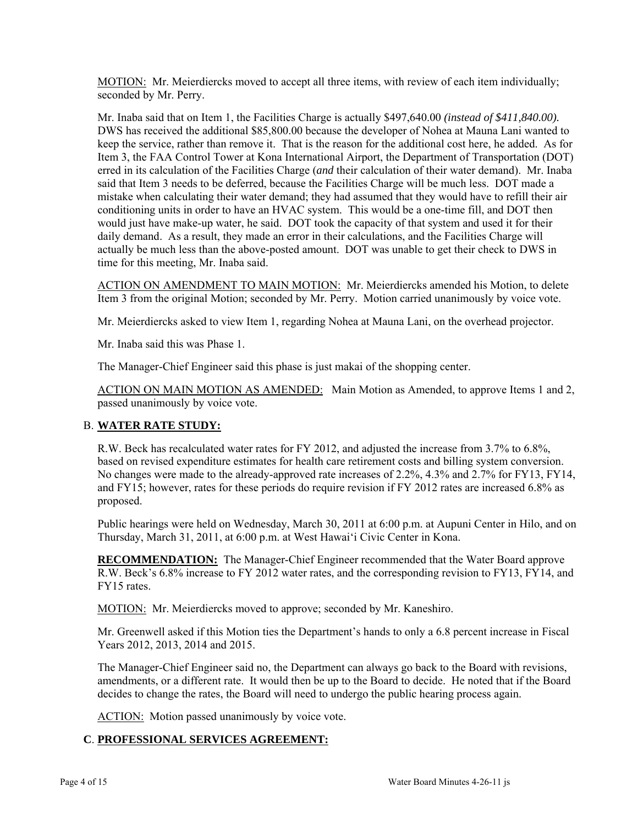MOTION: Mr. Meierdiercks moved to accept all three items, with review of each item individually; seconded by Mr. Perry.

Mr. Inaba said that on Item 1, the Facilities Charge is actually \$497,640.00 *(instead of \$411,840.00).*  DWS has received the additional \$85,800.00 because the developer of Nohea at Mauna Lani wanted to keep the service, rather than remove it. That is the reason for the additional cost here, he added. As for Item 3, the FAA Control Tower at Kona International Airport, the Department of Transportation (DOT) erred in its calculation of the Facilities Charge (*and* their calculation of their water demand). Mr. Inaba said that Item 3 needs to be deferred, because the Facilities Charge will be much less. DOT made a mistake when calculating their water demand; they had assumed that they would have to refill their air conditioning units in order to have an HVAC system. This would be a one-time fill, and DOT then would just have make-up water, he said. DOT took the capacity of that system and used it for their daily demand. As a result, they made an error in their calculations, and the Facilities Charge will actually be much less than the above-posted amount. DOT was unable to get their check to DWS in time for this meeting, Mr. Inaba said.

ACTION ON AMENDMENT TO MAIN MOTION: Mr. Meierdiercks amended his Motion, to delete Item 3 from the original Motion; seconded by Mr. Perry. Motion carried unanimously by voice vote.

Mr. Meierdiercks asked to view Item 1, regarding Nohea at Mauna Lani, on the overhead projector.

Mr. Inaba said this was Phase 1.

The Manager-Chief Engineer said this phase is just makai of the shopping center.

ACTION ON MAIN MOTION AS AMENDED: Main Motion as Amended, to approve Items 1 and 2, passed unanimously by voice vote.

## B. **WATER RATE STUDY:**

R.W. Beck has recalculated water rates for FY 2012, and adjusted the increase from 3.7% to 6.8%, based on revised expenditure estimates for health care retirement costs and billing system conversion. No changes were made to the already-approved rate increases of 2.2%, 4.3% and 2.7% for FY13, FY14, and FY15; however, rates for these periods do require revision if FY 2012 rates are increased 6.8% as proposed.

Public hearings were held on Wednesday, March 30, 2011 at 6:00 p.m. at Aupuni Center in Hilo, and on Thursday, March 31, 2011, at 6:00 p.m. at West Hawai'i Civic Center in Kona.

**RECOMMENDATION:** The Manager-Chief Engineer recommended that the Water Board approve R.W. Beck's 6.8% increase to FY 2012 water rates, and the corresponding revision to FY13, FY14, and FY15 rates.

MOTION: Mr. Meierdiercks moved to approve; seconded by Mr. Kaneshiro.

Mr. Greenwell asked if this Motion ties the Department's hands to only a 6.8 percent increase in Fiscal Years 2012, 2013, 2014 and 2015.

The Manager-Chief Engineer said no, the Department can always go back to the Board with revisions, amendments, or a different rate. It would then be up to the Board to decide. He noted that if the Board decides to change the rates, the Board will need to undergo the public hearing process again.

ACTION: Motion passed unanimously by voice vote.

# **C**. **PROFESSIONAL SERVICES AGREEMENT:**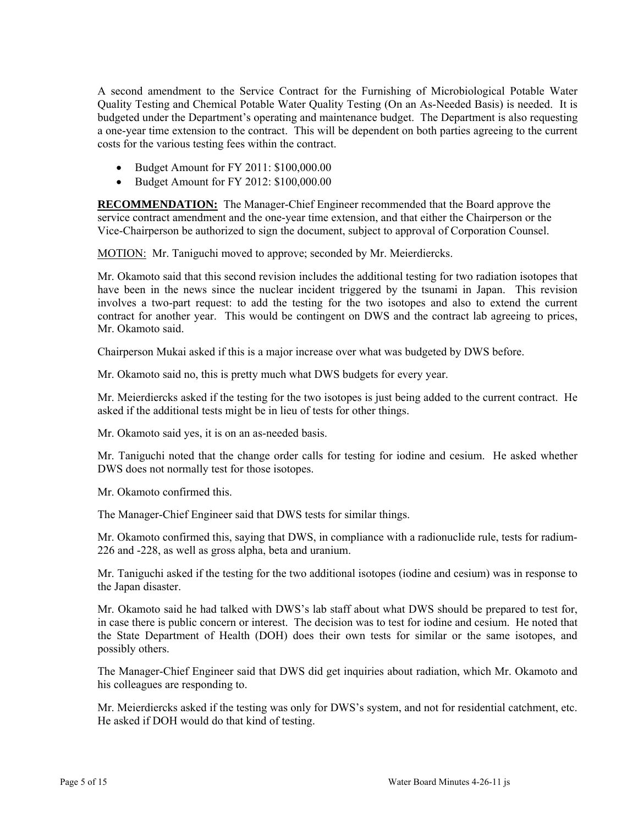A second amendment to the Service Contract for the Furnishing of Microbiological Potable Water Quality Testing and Chemical Potable Water Quality Testing (On an As-Needed Basis) is needed. It is budgeted under the Department's operating and maintenance budget. The Department is also requesting a one-year time extension to the contract. This will be dependent on both parties agreeing to the current costs for the various testing fees within the contract.

- Budget Amount for FY 2011: \$100,000.00
- Budget Amount for FY 2012: \$100,000.00

**RECOMMENDATION:** The Manager-Chief Engineer recommended that the Board approve the service contract amendment and the one-year time extension, and that either the Chairperson or the Vice-Chairperson be authorized to sign the document, subject to approval of Corporation Counsel.

MOTION: Mr. Taniguchi moved to approve; seconded by Mr. Meierdiercks.

Mr. Okamoto said that this second revision includes the additional testing for two radiation isotopes that have been in the news since the nuclear incident triggered by the tsunami in Japan. This revision involves a two-part request: to add the testing for the two isotopes and also to extend the current contract for another year. This would be contingent on DWS and the contract lab agreeing to prices, Mr. Okamoto said.

Chairperson Mukai asked if this is a major increase over what was budgeted by DWS before.

Mr. Okamoto said no, this is pretty much what DWS budgets for every year.

Mr. Meierdiercks asked if the testing for the two isotopes is just being added to the current contract. He asked if the additional tests might be in lieu of tests for other things.

Mr. Okamoto said yes, it is on an as-needed basis.

Mr. Taniguchi noted that the change order calls for testing for iodine and cesium. He asked whether DWS does not normally test for those isotopes.

Mr. Okamoto confirmed this.

The Manager-Chief Engineer said that DWS tests for similar things.

Mr. Okamoto confirmed this, saying that DWS, in compliance with a radionuclide rule, tests for radium-226 and -228, as well as gross alpha, beta and uranium.

Mr. Taniguchi asked if the testing for the two additional isotopes (iodine and cesium) was in response to the Japan disaster.

Mr. Okamoto said he had talked with DWS's lab staff about what DWS should be prepared to test for, in case there is public concern or interest. The decision was to test for iodine and cesium. He noted that the State Department of Health (DOH) does their own tests for similar or the same isotopes, and possibly others.

The Manager-Chief Engineer said that DWS did get inquiries about radiation, which Mr. Okamoto and his colleagues are responding to.

Mr. Meierdiercks asked if the testing was only for DWS's system, and not for residential catchment, etc. He asked if DOH would do that kind of testing.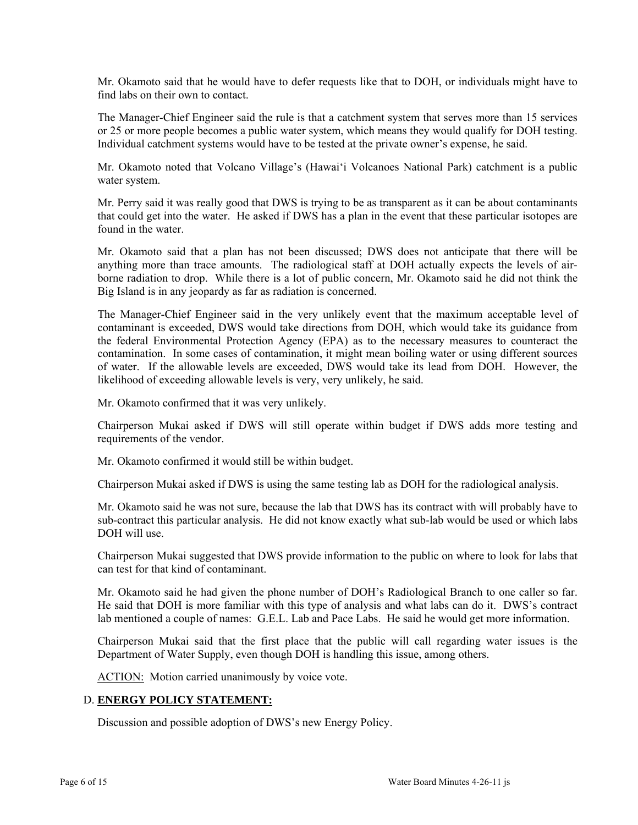Mr. Okamoto said that he would have to defer requests like that to DOH, or individuals might have to find labs on their own to contact.

The Manager-Chief Engineer said the rule is that a catchment system that serves more than 15 services or 25 or more people becomes a public water system, which means they would qualify for DOH testing. Individual catchment systems would have to be tested at the private owner's expense, he said.

Mr. Okamoto noted that Volcano Village's (Hawai'i Volcanoes National Park) catchment is a public water system.

Mr. Perry said it was really good that DWS is trying to be as transparent as it can be about contaminants that could get into the water. He asked if DWS has a plan in the event that these particular isotopes are found in the water.

Mr. Okamoto said that a plan has not been discussed; DWS does not anticipate that there will be anything more than trace amounts. The radiological staff at DOH actually expects the levels of airborne radiation to drop. While there is a lot of public concern, Mr. Okamoto said he did not think the Big Island is in any jeopardy as far as radiation is concerned.

The Manager-Chief Engineer said in the very unlikely event that the maximum acceptable level of contaminant is exceeded, DWS would take directions from DOH, which would take its guidance from the federal Environmental Protection Agency (EPA) as to the necessary measures to counteract the contamination. In some cases of contamination, it might mean boiling water or using different sources of water. If the allowable levels are exceeded, DWS would take its lead from DOH. However, the likelihood of exceeding allowable levels is very, very unlikely, he said.

Mr. Okamoto confirmed that it was very unlikely.

Chairperson Mukai asked if DWS will still operate within budget if DWS adds more testing and requirements of the vendor.

Mr. Okamoto confirmed it would still be within budget.

Chairperson Mukai asked if DWS is using the same testing lab as DOH for the radiological analysis.

Mr. Okamoto said he was not sure, because the lab that DWS has its contract with will probably have to sub-contract this particular analysis. He did not know exactly what sub-lab would be used or which labs DOH will use.

Chairperson Mukai suggested that DWS provide information to the public on where to look for labs that can test for that kind of contaminant.

Mr. Okamoto said he had given the phone number of DOH's Radiological Branch to one caller so far. He said that DOH is more familiar with this type of analysis and what labs can do it. DWS's contract lab mentioned a couple of names: G.E.L. Lab and Pace Labs. He said he would get more information.

Chairperson Mukai said that the first place that the public will call regarding water issues is the Department of Water Supply, even though DOH is handling this issue, among others.

ACTION: Motion carried unanimously by voice vote.

## D. **ENERGY POLICY STATEMENT:**

Discussion and possible adoption of DWS's new Energy Policy.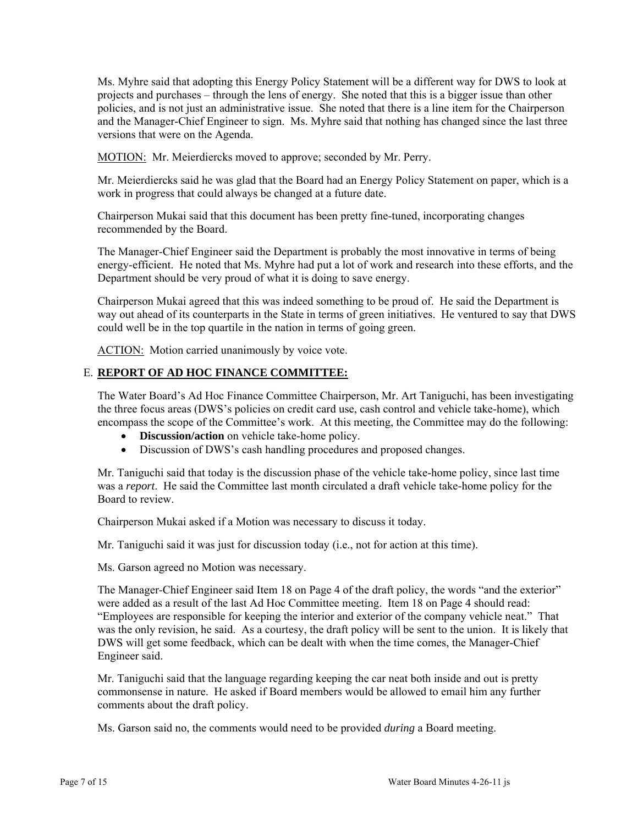Ms. Myhre said that adopting this Energy Policy Statement will be a different way for DWS to look at projects and purchases – through the lens of energy. She noted that this is a bigger issue than other policies, and is not just an administrative issue. She noted that there is a line item for the Chairperson and the Manager-Chief Engineer to sign. Ms. Myhre said that nothing has changed since the last three versions that were on the Agenda.

MOTION: Mr. Meierdiercks moved to approve; seconded by Mr. Perry.

Mr. Meierdiercks said he was glad that the Board had an Energy Policy Statement on paper, which is a work in progress that could always be changed at a future date.

Chairperson Mukai said that this document has been pretty fine-tuned, incorporating changes recommended by the Board.

The Manager-Chief Engineer said the Department is probably the most innovative in terms of being energy-efficient. He noted that Ms. Myhre had put a lot of work and research into these efforts, and the Department should be very proud of what it is doing to save energy.

Chairperson Mukai agreed that this was indeed something to be proud of. He said the Department is way out ahead of its counterparts in the State in terms of green initiatives. He ventured to say that DWS could well be in the top quartile in the nation in terms of going green.

ACTION: Motion carried unanimously by voice vote.

# E. **REPORT OF AD HOC FINANCE COMMITTEE:**

The Water Board's Ad Hoc Finance Committee Chairperson, Mr. Art Taniguchi, has been investigating the three focus areas (DWS's policies on credit card use, cash control and vehicle take-home), which encompass the scope of the Committee's work. At this meeting, the Committee may do the following:

- **Discussion/action** on vehicle take-home policy.
- Discussion of DWS's cash handling procedures and proposed changes.

Mr. Taniguchi said that today is the discussion phase of the vehicle take-home policy, since last time was a *report*. He said the Committee last month circulated a draft vehicle take-home policy for the Board to review.

Chairperson Mukai asked if a Motion was necessary to discuss it today.

Mr. Taniguchi said it was just for discussion today (i.e., not for action at this time).

Ms. Garson agreed no Motion was necessary.

The Manager-Chief Engineer said Item 18 on Page 4 of the draft policy, the words "and the exterior" were added as a result of the last Ad Hoc Committee meeting. Item 18 on Page 4 should read: "Employees are responsible for keeping the interior and exterior of the company vehicle neat." That was the only revision, he said. As a courtesy, the draft policy will be sent to the union. It is likely that DWS will get some feedback, which can be dealt with when the time comes, the Manager-Chief Engineer said.

Mr. Taniguchi said that the language regarding keeping the car neat both inside and out is pretty commonsense in nature. He asked if Board members would be allowed to email him any further comments about the draft policy.

Ms. Garson said no, the comments would need to be provided *during* a Board meeting.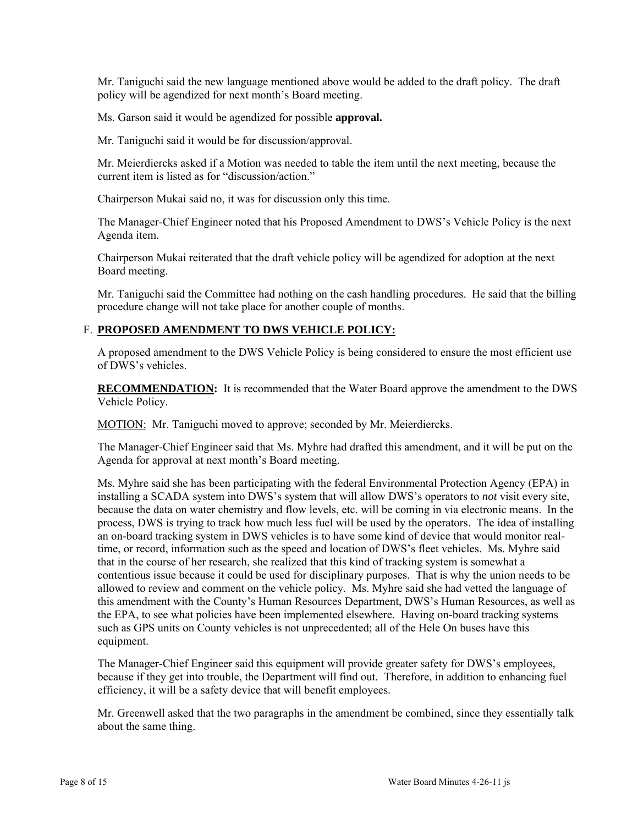Mr. Taniguchi said the new language mentioned above would be added to the draft policy. The draft policy will be agendized for next month's Board meeting.

Ms. Garson said it would be agendized for possible **approval.** 

Mr. Taniguchi said it would be for discussion/approval.

Mr. Meierdiercks asked if a Motion was needed to table the item until the next meeting, because the current item is listed as for "discussion/action."

Chairperson Mukai said no, it was for discussion only this time.

The Manager-Chief Engineer noted that his Proposed Amendment to DWS's Vehicle Policy is the next Agenda item.

Chairperson Mukai reiterated that the draft vehicle policy will be agendized for adoption at the next Board meeting.

Mr. Taniguchi said the Committee had nothing on the cash handling procedures. He said that the billing procedure change will not take place for another couple of months.

# F. **PROPOSED AMENDMENT TO DWS VEHICLE POLICY:**

A proposed amendment to the DWS Vehicle Policy is being considered to ensure the most efficient use of DWS's vehicles.

**RECOMMENDATION:** It is recommended that the Water Board approve the amendment to the DWS Vehicle Policy.

MOTION: Mr. Taniguchi moved to approve; seconded by Mr. Meierdiercks.

The Manager-Chief Engineer said that Ms. Myhre had drafted this amendment, and it will be put on the Agenda for approval at next month's Board meeting.

Ms. Myhre said she has been participating with the federal Environmental Protection Agency (EPA) in installing a SCADA system into DWS's system that will allow DWS's operators to *not* visit every site, because the data on water chemistry and flow levels, etc. will be coming in via electronic means. In the process, DWS is trying to track how much less fuel will be used by the operators. The idea of installing an on-board tracking system in DWS vehicles is to have some kind of device that would monitor realtime, or record, information such as the speed and location of DWS's fleet vehicles. Ms. Myhre said that in the course of her research, she realized that this kind of tracking system is somewhat a contentious issue because it could be used for disciplinary purposes. That is why the union needs to be allowed to review and comment on the vehicle policy. Ms. Myhre said she had vetted the language of this amendment with the County's Human Resources Department, DWS's Human Resources, as well as the EPA, to see what policies have been implemented elsewhere. Having on-board tracking systems such as GPS units on County vehicles is not unprecedented; all of the Hele On buses have this equipment.

The Manager-Chief Engineer said this equipment will provide greater safety for DWS's employees, because if they get into trouble, the Department will find out. Therefore, in addition to enhancing fuel efficiency, it will be a safety device that will benefit employees.

Mr. Greenwell asked that the two paragraphs in the amendment be combined, since they essentially talk about the same thing.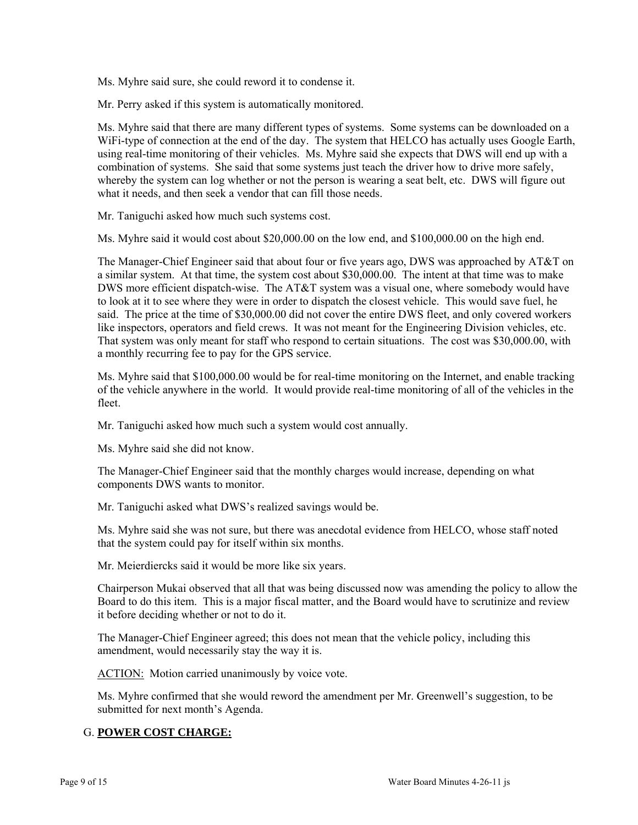Ms. Myhre said sure, she could reword it to condense it.

Mr. Perry asked if this system is automatically monitored.

Ms. Myhre said that there are many different types of systems. Some systems can be downloaded on a WiFi-type of connection at the end of the day. The system that HELCO has actually uses Google Earth, using real-time monitoring of their vehicles. Ms. Myhre said she expects that DWS will end up with a combination of systems. She said that some systems just teach the driver how to drive more safely, whereby the system can log whether or not the person is wearing a seat belt, etc. DWS will figure out what it needs, and then seek a vendor that can fill those needs.

Mr. Taniguchi asked how much such systems cost.

Ms. Myhre said it would cost about \$20,000.00 on the low end, and \$100,000.00 on the high end.

The Manager-Chief Engineer said that about four or five years ago, DWS was approached by AT&T on a similar system. At that time, the system cost about \$30,000.00. The intent at that time was to make DWS more efficient dispatch-wise. The AT&T system was a visual one, where somebody would have to look at it to see where they were in order to dispatch the closest vehicle. This would save fuel, he said. The price at the time of \$30,000.00 did not cover the entire DWS fleet, and only covered workers like inspectors, operators and field crews. It was not meant for the Engineering Division vehicles, etc. That system was only meant for staff who respond to certain situations. The cost was \$30,000.00, with a monthly recurring fee to pay for the GPS service.

Ms. Myhre said that \$100,000.00 would be for real-time monitoring on the Internet, and enable tracking of the vehicle anywhere in the world. It would provide real-time monitoring of all of the vehicles in the fleet.

Mr. Taniguchi asked how much such a system would cost annually.

Ms. Myhre said she did not know.

The Manager-Chief Engineer said that the monthly charges would increase, depending on what components DWS wants to monitor.

Mr. Taniguchi asked what DWS's realized savings would be.

Ms. Myhre said she was not sure, but there was anecdotal evidence from HELCO, whose staff noted that the system could pay for itself within six months.

Mr. Meierdiercks said it would be more like six years.

Chairperson Mukai observed that all that was being discussed now was amending the policy to allow the Board to do this item. This is a major fiscal matter, and the Board would have to scrutinize and review it before deciding whether or not to do it.

The Manager-Chief Engineer agreed; this does not mean that the vehicle policy, including this amendment, would necessarily stay the way it is.

ACTION: Motion carried unanimously by voice vote.

Ms. Myhre confirmed that she would reword the amendment per Mr. Greenwell's suggestion, to be submitted for next month's Agenda.

## G. **POWER COST CHARGE:**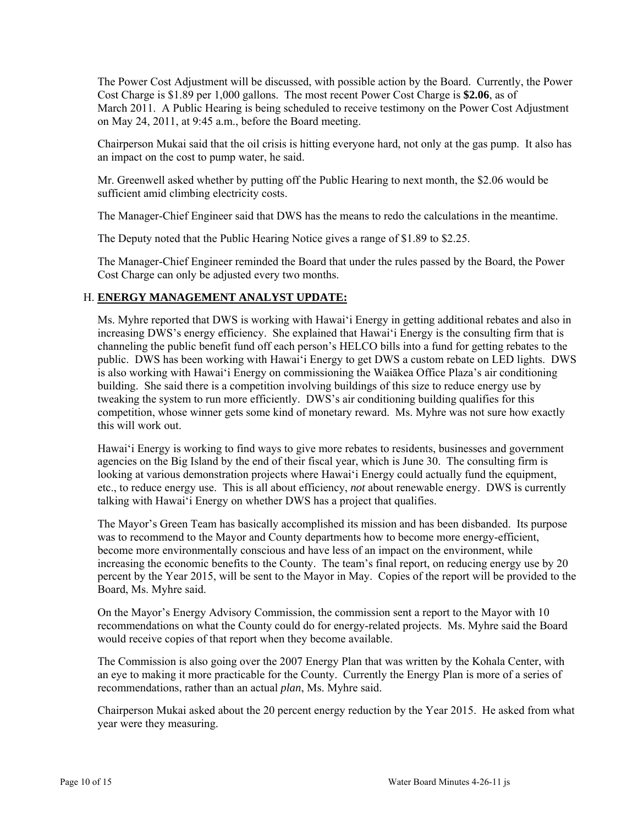The Power Cost Adjustment will be discussed, with possible action by the Board. Currently, the Power Cost Charge is \$1.89 per 1,000 gallons. The most recent Power Cost Charge is **\$2.06**, as of March 2011. A Public Hearing is being scheduled to receive testimony on the Power Cost Adjustment on May 24, 2011, at 9:45 a.m., before the Board meeting.

Chairperson Mukai said that the oil crisis is hitting everyone hard, not only at the gas pump. It also has an impact on the cost to pump water, he said.

Mr. Greenwell asked whether by putting off the Public Hearing to next month, the \$2.06 would be sufficient amid climbing electricity costs.

The Manager-Chief Engineer said that DWS has the means to redo the calculations in the meantime.

The Deputy noted that the Public Hearing Notice gives a range of \$1.89 to \$2.25.

The Manager-Chief Engineer reminded the Board that under the rules passed by the Board, the Power Cost Charge can only be adjusted every two months.

# H. **ENERGY MANAGEMENT ANALYST UPDATE:**

Ms. Myhre reported that DWS is working with Hawai'i Energy in getting additional rebates and also in increasing DWS's energy efficiency. She explained that Hawai'i Energy is the consulting firm that is channeling the public benefit fund off each person's HELCO bills into a fund for getting rebates to the public. DWS has been working with Hawai'i Energy to get DWS a custom rebate on LED lights. DWS is also working with Hawai'i Energy on commissioning the Waiākea Office Plaza's air conditioning building. She said there is a competition involving buildings of this size to reduce energy use by tweaking the system to run more efficiently. DWS's air conditioning building qualifies for this competition, whose winner gets some kind of monetary reward. Ms. Myhre was not sure how exactly this will work out.

Hawai'i Energy is working to find ways to give more rebates to residents, businesses and government agencies on the Big Island by the end of their fiscal year, which is June 30. The consulting firm is looking at various demonstration projects where Hawai'i Energy could actually fund the equipment, etc., to reduce energy use. This is all about efficiency, *not* about renewable energy. DWS is currently talking with Hawai'i Energy on whether DWS has a project that qualifies.

The Mayor's Green Team has basically accomplished its mission and has been disbanded. Its purpose was to recommend to the Mayor and County departments how to become more energy-efficient, become more environmentally conscious and have less of an impact on the environment, while increasing the economic benefits to the County. The team's final report, on reducing energy use by 20 percent by the Year 2015, will be sent to the Mayor in May. Copies of the report will be provided to the Board, Ms. Myhre said.

On the Mayor's Energy Advisory Commission, the commission sent a report to the Mayor with 10 recommendations on what the County could do for energy-related projects. Ms. Myhre said the Board would receive copies of that report when they become available.

The Commission is also going over the 2007 Energy Plan that was written by the Kohala Center, with an eye to making it more practicable for the County. Currently the Energy Plan is more of a series of recommendations, rather than an actual *plan*, Ms. Myhre said.

Chairperson Mukai asked about the 20 percent energy reduction by the Year 2015. He asked from what year were they measuring.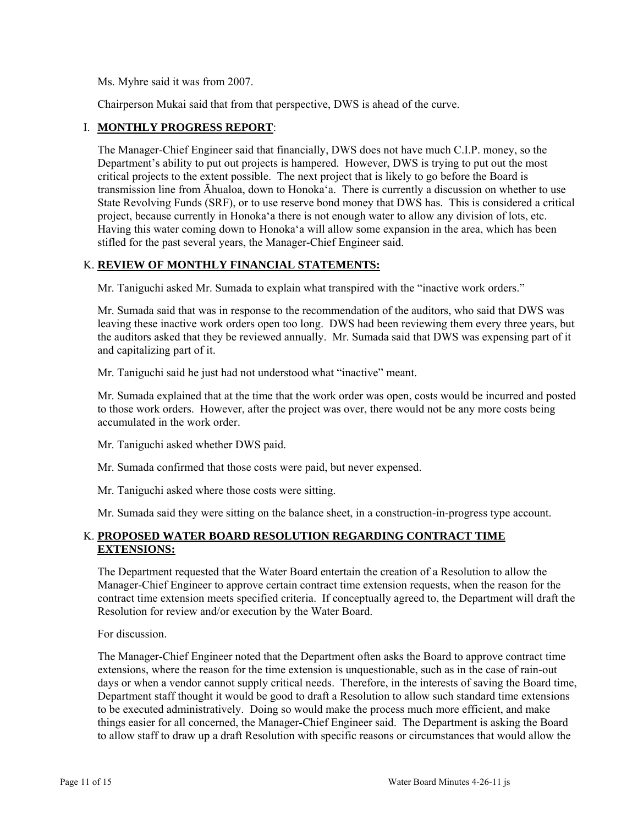Ms. Myhre said it was from 2007.

Chairperson Mukai said that from that perspective, DWS is ahead of the curve.

## I. **MONTHLY PROGRESS REPORT**:

The Manager-Chief Engineer said that financially, DWS does not have much C.I.P. money, so the Department's ability to put out projects is hampered. However, DWS is trying to put out the most critical projects to the extent possible. The next project that is likely to go before the Board is transmission line from Āhualoa, down to Honoka'a. There is currently a discussion on whether to use State Revolving Funds (SRF), or to use reserve bond money that DWS has. This is considered a critical project, because currently in Honoka'a there is not enough water to allow any division of lots, etc. Having this water coming down to Honoka'a will allow some expansion in the area, which has been stifled for the past several years, the Manager-Chief Engineer said.

## K. **REVIEW OF MONTHLY FINANCIAL STATEMENTS:**

Mr. Taniguchi asked Mr. Sumada to explain what transpired with the "inactive work orders."

Mr. Sumada said that was in response to the recommendation of the auditors, who said that DWS was leaving these inactive work orders open too long. DWS had been reviewing them every three years, but the auditors asked that they be reviewed annually. Mr. Sumada said that DWS was expensing part of it and capitalizing part of it.

Mr. Taniguchi said he just had not understood what "inactive" meant.

Mr. Sumada explained that at the time that the work order was open, costs would be incurred and posted to those work orders. However, after the project was over, there would not be any more costs being accumulated in the work order.

Mr. Taniguchi asked whether DWS paid.

Mr. Sumada confirmed that those costs were paid, but never expensed.

Mr. Taniguchi asked where those costs were sitting.

Mr. Sumada said they were sitting on the balance sheet, in a construction-in-progress type account.

## K. **PROPOSED WATER BOARD RESOLUTION REGARDING CONTRACT TIME EXTENSIONS:**

The Department requested that the Water Board entertain the creation of a Resolution to allow the Manager-Chief Engineer to approve certain contract time extension requests, when the reason for the contract time extension meets specified criteria. If conceptually agreed to, the Department will draft the Resolution for review and/or execution by the Water Board.

For discussion.

The Manager-Chief Engineer noted that the Department often asks the Board to approve contract time extensions, where the reason for the time extension is unquestionable, such as in the case of rain-out days or when a vendor cannot supply critical needs. Therefore, in the interests of saving the Board time, Department staff thought it would be good to draft a Resolution to allow such standard time extensions to be executed administratively. Doing so would make the process much more efficient, and make things easier for all concerned, the Manager-Chief Engineer said. The Department is asking the Board to allow staff to draw up a draft Resolution with specific reasons or circumstances that would allow the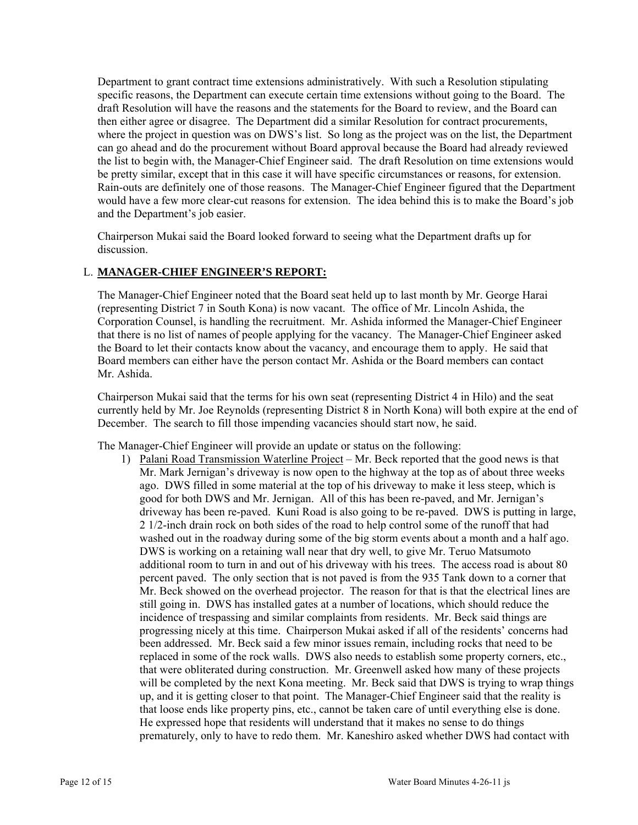Department to grant contract time extensions administratively. With such a Resolution stipulating specific reasons, the Department can execute certain time extensions without going to the Board. The draft Resolution will have the reasons and the statements for the Board to review, and the Board can then either agree or disagree. The Department did a similar Resolution for contract procurements, where the project in question was on DWS's list. So long as the project was on the list, the Department can go ahead and do the procurement without Board approval because the Board had already reviewed the list to begin with, the Manager-Chief Engineer said. The draft Resolution on time extensions would be pretty similar, except that in this case it will have specific circumstances or reasons, for extension. Rain-outs are definitely one of those reasons. The Manager-Chief Engineer figured that the Department would have a few more clear-cut reasons for extension. The idea behind this is to make the Board's job and the Department's job easier.

Chairperson Mukai said the Board looked forward to seeing what the Department drafts up for discussion.

## L. **MANAGER-CHIEF ENGINEER'S REPORT:**

The Manager-Chief Engineer noted that the Board seat held up to last month by Mr. George Harai (representing District 7 in South Kona) is now vacant. The office of Mr. Lincoln Ashida, the Corporation Counsel, is handling the recruitment. Mr. Ashida informed the Manager-Chief Engineer that there is no list of names of people applying for the vacancy. The Manager-Chief Engineer asked the Board to let their contacts know about the vacancy, and encourage them to apply. He said that Board members can either have the person contact Mr. Ashida or the Board members can contact Mr. Ashida.

Chairperson Mukai said that the terms for his own seat (representing District 4 in Hilo) and the seat currently held by Mr. Joe Reynolds (representing District 8 in North Kona) will both expire at the end of December. The search to fill those impending vacancies should start now, he said.

The Manager-Chief Engineer will provide an update or status on the following:

1) Palani Road Transmission Waterline Project – Mr. Beck reported that the good news is that Mr. Mark Jernigan's driveway is now open to the highway at the top as of about three weeks ago. DWS filled in some material at the top of his driveway to make it less steep, which is good for both DWS and Mr. Jernigan. All of this has been re-paved, and Mr. Jernigan's driveway has been re-paved. Kuni Road is also going to be re-paved. DWS is putting in large, 2 1/2-inch drain rock on both sides of the road to help control some of the runoff that had washed out in the roadway during some of the big storm events about a month and a half ago. DWS is working on a retaining wall near that dry well, to give Mr. Teruo Matsumoto additional room to turn in and out of his driveway with his trees. The access road is about 80 percent paved. The only section that is not paved is from the 935 Tank down to a corner that Mr. Beck showed on the overhead projector. The reason for that is that the electrical lines are still going in. DWS has installed gates at a number of locations, which should reduce the incidence of trespassing and similar complaints from residents. Mr. Beck said things are progressing nicely at this time. Chairperson Mukai asked if all of the residents' concerns had been addressed. Mr. Beck said a few minor issues remain, including rocks that need to be replaced in some of the rock walls. DWS also needs to establish some property corners, etc., that were obliterated during construction. Mr. Greenwell asked how many of these projects will be completed by the next Kona meeting. Mr. Beck said that DWS is trying to wrap things up, and it is getting closer to that point. The Manager-Chief Engineer said that the reality is that loose ends like property pins, etc., cannot be taken care of until everything else is done. He expressed hope that residents will understand that it makes no sense to do things prematurely, only to have to redo them. Mr. Kaneshiro asked whether DWS had contact with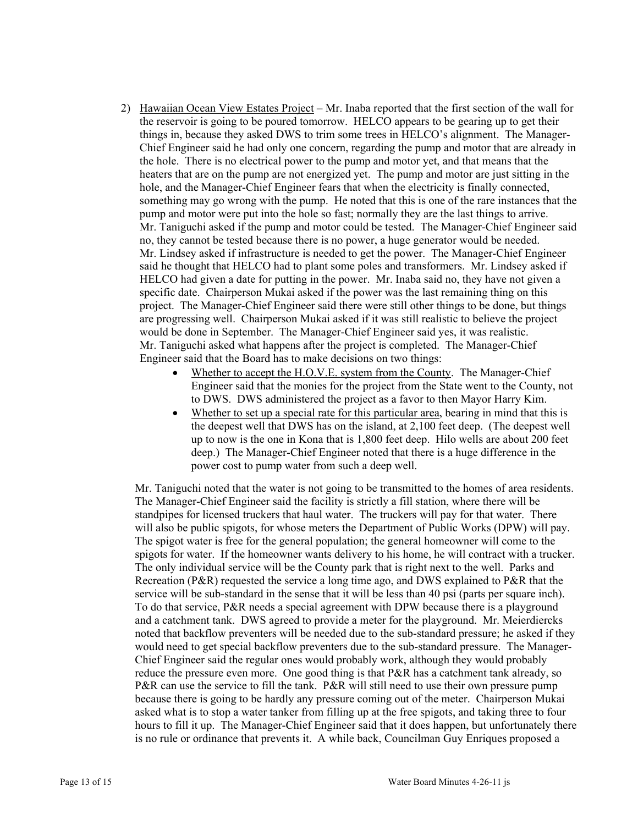- 2) Hawaiian Ocean View Estates Project Mr. Inaba reported that the first section of the wall for the reservoir is going to be poured tomorrow. HELCO appears to be gearing up to get their things in, because they asked DWS to trim some trees in HELCO's alignment. The Manager-Chief Engineer said he had only one concern, regarding the pump and motor that are already in the hole. There is no electrical power to the pump and motor yet, and that means that the heaters that are on the pump are not energized yet. The pump and motor are just sitting in the hole, and the Manager-Chief Engineer fears that when the electricity is finally connected, something may go wrong with the pump. He noted that this is one of the rare instances that the pump and motor were put into the hole so fast; normally they are the last things to arrive. Mr. Taniguchi asked if the pump and motor could be tested. The Manager-Chief Engineer said no, they cannot be tested because there is no power, a huge generator would be needed. Mr. Lindsey asked if infrastructure is needed to get the power. The Manager-Chief Engineer said he thought that HELCO had to plant some poles and transformers. Mr. Lindsey asked if HELCO had given a date for putting in the power. Mr. Inaba said no, they have not given a specific date. Chairperson Mukai asked if the power was the last remaining thing on this project. The Manager-Chief Engineer said there were still other things to be done, but things are progressing well. Chairperson Mukai asked if it was still realistic to believe the project would be done in September. The Manager-Chief Engineer said yes, it was realistic. Mr. Taniguchi asked what happens after the project is completed. The Manager-Chief Engineer said that the Board has to make decisions on two things:
	- Whether to accept the H.O.V.E. system from the County. The Manager-Chief Engineer said that the monies for the project from the State went to the County, not to DWS. DWS administered the project as a favor to then Mayor Harry Kim.
	- Whether to set up a special rate for this particular area, bearing in mind that this is the deepest well that DWS has on the island, at 2,100 feet deep. (The deepest well up to now is the one in Kona that is 1,800 feet deep. Hilo wells are about 200 feet deep.) The Manager-Chief Engineer noted that there is a huge difference in the power cost to pump water from such a deep well.

Mr. Taniguchi noted that the water is not going to be transmitted to the homes of area residents. The Manager-Chief Engineer said the facility is strictly a fill station, where there will be standpipes for licensed truckers that haul water. The truckers will pay for that water. There will also be public spigots, for whose meters the Department of Public Works (DPW) will pay. The spigot water is free for the general population; the general homeowner will come to the spigots for water. If the homeowner wants delivery to his home, he will contract with a trucker. The only individual service will be the County park that is right next to the well. Parks and Recreation (P&R) requested the service a long time ago, and DWS explained to P&R that the service will be sub-standard in the sense that it will be less than 40 psi (parts per square inch). To do that service, P&R needs a special agreement with DPW because there is a playground and a catchment tank. DWS agreed to provide a meter for the playground. Mr. Meierdiercks noted that backflow preventers will be needed due to the sub-standard pressure; he asked if they would need to get special backflow preventers due to the sub-standard pressure. The Manager-Chief Engineer said the regular ones would probably work, although they would probably reduce the pressure even more. One good thing is that P&R has a catchment tank already, so P&R can use the service to fill the tank. P&R will still need to use their own pressure pump because there is going to be hardly any pressure coming out of the meter. Chairperson Mukai asked what is to stop a water tanker from filling up at the free spigots, and taking three to four hours to fill it up. The Manager-Chief Engineer said that it does happen, but unfortunately there is no rule or ordinance that prevents it. A while back, Councilman Guy Enriques proposed a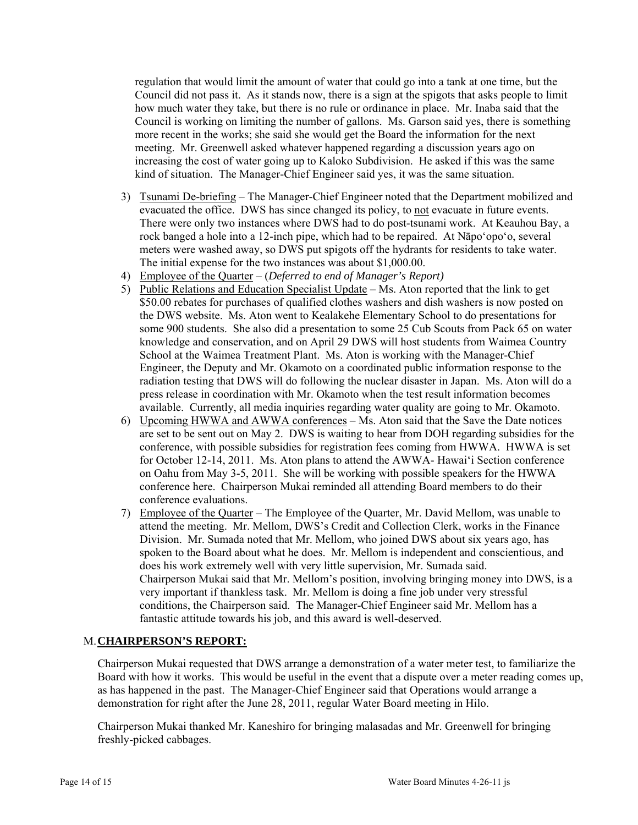regulation that would limit the amount of water that could go into a tank at one time, but the Council did not pass it. As it stands now, there is a sign at the spigots that asks people to limit how much water they take, but there is no rule or ordinance in place. Mr. Inaba said that the Council is working on limiting the number of gallons. Ms. Garson said yes, there is something more recent in the works; she said she would get the Board the information for the next meeting. Mr. Greenwell asked whatever happened regarding a discussion years ago on increasing the cost of water going up to Kaloko Subdivision. He asked if this was the same kind of situation. The Manager-Chief Engineer said yes, it was the same situation.

- 3) Tsunami De-briefing The Manager-Chief Engineer noted that the Department mobilized and evacuated the office. DWS has since changed its policy, to not evacuate in future events. There were only two instances where DWS had to do post-tsunami work. At Keauhou Bay, a rock banged a hole into a 12-inch pipe, which had to be repaired. At Nāpo'opo'o, several meters were washed away, so DWS put spigots off the hydrants for residents to take water. The initial expense for the two instances was about \$1,000.00.
- 4) Employee of the Quarter (*Deferred to end of Manager's Report)*
- 5) Public Relations and Education Specialist Update Ms. Aton reported that the link to get \$50.00 rebates for purchases of qualified clothes washers and dish washers is now posted on the DWS website. Ms. Aton went to Kealakehe Elementary School to do presentations for some 900 students. She also did a presentation to some 25 Cub Scouts from Pack 65 on water knowledge and conservation, and on April 29 DWS will host students from Waimea Country School at the Waimea Treatment Plant. Ms. Aton is working with the Manager-Chief Engineer, the Deputy and Mr. Okamoto on a coordinated public information response to the radiation testing that DWS will do following the nuclear disaster in Japan. Ms. Aton will do a press release in coordination with Mr. Okamoto when the test result information becomes available. Currently, all media inquiries regarding water quality are going to Mr. Okamoto.
- 6) Upcoming HWWA and AWWA conferences Ms. Aton said that the Save the Date notices are set to be sent out on May 2. DWS is waiting to hear from DOH regarding subsidies for the conference, with possible subsidies for registration fees coming from HWWA. HWWA is set for October 12-14, 2011. Ms. Aton plans to attend the AWWA- Hawai'i Section conference on Oahu from May 3-5, 2011. She will be working with possible speakers for the HWWA conference here. Chairperson Mukai reminded all attending Board members to do their conference evaluations.
- 7) Employee of the Quarter The Employee of the Quarter, Mr. David Mellom, was unable to attend the meeting. Mr. Mellom, DWS's Credit and Collection Clerk, works in the Finance Division. Mr. Sumada noted that Mr. Mellom, who joined DWS about six years ago, has spoken to the Board about what he does. Mr. Mellom is independent and conscientious, and does his work extremely well with very little supervision, Mr. Sumada said. Chairperson Mukai said that Mr. Mellom's position, involving bringing money into DWS, is a very important if thankless task. Mr. Mellom is doing a fine job under very stressful conditions, the Chairperson said. The Manager-Chief Engineer said Mr. Mellom has a fantastic attitude towards his job, and this award is well-deserved.

# M. **CHAIRPERSON'S REPORT:**

Chairperson Mukai requested that DWS arrange a demonstration of a water meter test, to familiarize the Board with how it works. This would be useful in the event that a dispute over a meter reading comes up, as has happened in the past. The Manager-Chief Engineer said that Operations would arrange a demonstration for right after the June 28, 2011, regular Water Board meeting in Hilo.

Chairperson Mukai thanked Mr. Kaneshiro for bringing malasadas and Mr. Greenwell for bringing freshly-picked cabbages.